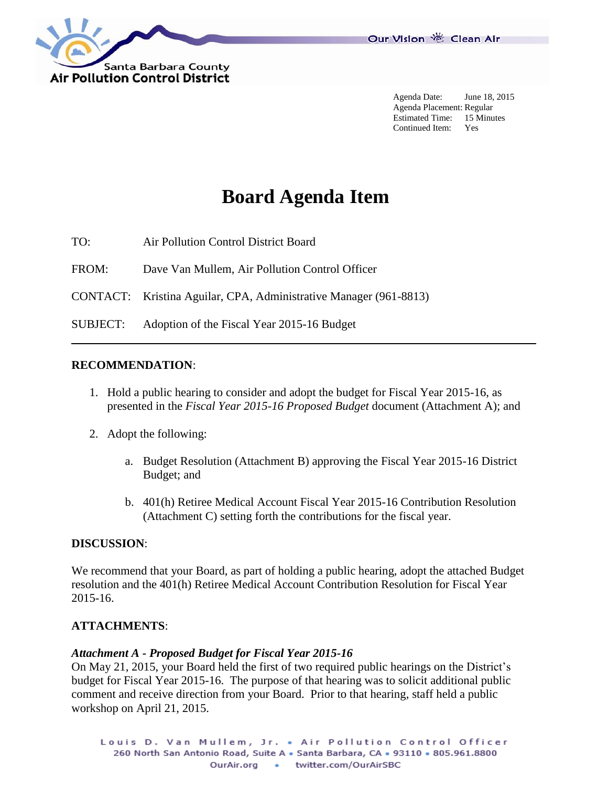

Agenda Date: June 18, 2015 Agenda Placement: Regular Estimated Time: 15 Minutes Continued Item: Yes

# **Board Agenda Item**

TO: Air Pollution Control District Board

FROM: Dave Van Mullem, Air Pollution Control Officer

CONTACT: Kristina Aguilar, CPA, Administrative Manager (961-8813)

SUBJECT: Adoption of the Fiscal Year 2015-16 Budget

### **RECOMMENDATION**:

- 1. Hold a public hearing to consider and adopt the budget for Fiscal Year 2015-16, as presented in the *Fiscal Year 2015-16 Proposed Budget* document (Attachment A); and
- 2. Adopt the following:
	- a. Budget Resolution (Attachment B) approving the Fiscal Year 2015-16 District Budget; and
	- b. 401(h) Retiree Medical Account Fiscal Year 2015-16 Contribution Resolution (Attachment C) setting forth the contributions for the fiscal year.

# **DISCUSSION**:

We recommend that your Board, as part of holding a public hearing, adopt the attached Budget resolution and the 401(h) Retiree Medical Account Contribution Resolution for Fiscal Year 2015-16.

# **ATTACHMENTS**:

### *Attachment A - Proposed Budget for Fiscal Year 2015-16*

On May 21, 2015, your Board held the first of two required public hearings on the District's budget for Fiscal Year 2015-16. The purpose of that hearing was to solicit additional public comment and receive direction from your Board. Prior to that hearing, staff held a public workshop on April 21, 2015.